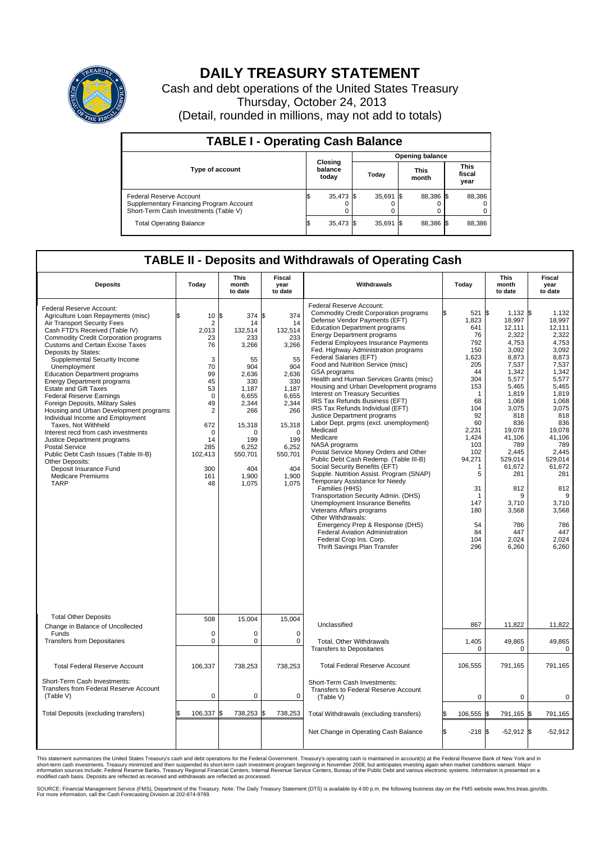

## **DAILY TREASURY STATEMENT**

Cash and debt operations of the United States Treasury Thursday, October 24, 2013 (Detail, rounded in millions, may not add to totals)

| <b>TABLE I - Operating Cash Balance</b>                                                                     |  |                             |  |             |  |                      |                               |        |  |  |
|-------------------------------------------------------------------------------------------------------------|--|-----------------------------|--|-------------|--|----------------------|-------------------------------|--------|--|--|
| <b>Opening balance</b>                                                                                      |  |                             |  |             |  |                      |                               |        |  |  |
| <b>Type of account</b>                                                                                      |  | Closing<br>balance<br>today |  | Today       |  | <b>This</b><br>month | <b>This</b><br>fiscal<br>year |        |  |  |
| Federal Reserve Account<br>Supplementary Financing Program Account<br>Short-Term Cash Investments (Table V) |  | 35,473 \$                   |  | $35,691$ \$ |  | 88.386 \$            |                               | 88,386 |  |  |
| <b>Total Operating Balance</b>                                                                              |  | 35,473 \$                   |  | $35,691$ \$ |  | 88,386 \$            |                               | 88,386 |  |  |

## **TABLE II - Deposits and Withdrawals of Operating Cash**

| <b>Deposits</b>                                                                                                                                                                                                                                                                                                                                                                                                                                                                                                                                                                                                                                                                                                                                                                                                     | Today                                                                                                                                                                            | <b>This</b><br>month<br>to date                                                                                                                                        | <b>Fiscal</b><br>year<br>to date                                                                                                                                                     | Withdrawals                                                                                                                                                                                                                                                                                                                                                                                                                                                                                                                                                                                                                                                                                                                                                                                                                                                                                                                                                                                                                                                                                                                                                             | Today                                                                                                                                                                                                                                    | <b>This</b><br>month<br>to date                                                                                                                                                                                                                                               | <b>Fiscal</b><br>year<br>to date                                                                                                                                                                                                                                         |
|---------------------------------------------------------------------------------------------------------------------------------------------------------------------------------------------------------------------------------------------------------------------------------------------------------------------------------------------------------------------------------------------------------------------------------------------------------------------------------------------------------------------------------------------------------------------------------------------------------------------------------------------------------------------------------------------------------------------------------------------------------------------------------------------------------------------|----------------------------------------------------------------------------------------------------------------------------------------------------------------------------------|------------------------------------------------------------------------------------------------------------------------------------------------------------------------|--------------------------------------------------------------------------------------------------------------------------------------------------------------------------------------|-------------------------------------------------------------------------------------------------------------------------------------------------------------------------------------------------------------------------------------------------------------------------------------------------------------------------------------------------------------------------------------------------------------------------------------------------------------------------------------------------------------------------------------------------------------------------------------------------------------------------------------------------------------------------------------------------------------------------------------------------------------------------------------------------------------------------------------------------------------------------------------------------------------------------------------------------------------------------------------------------------------------------------------------------------------------------------------------------------------------------------------------------------------------------|------------------------------------------------------------------------------------------------------------------------------------------------------------------------------------------------------------------------------------------|-------------------------------------------------------------------------------------------------------------------------------------------------------------------------------------------------------------------------------------------------------------------------------|--------------------------------------------------------------------------------------------------------------------------------------------------------------------------------------------------------------------------------------------------------------------------|
| Federal Reserve Account:<br>Agriculture Loan Repayments (misc)<br>Air Transport Security Fees<br>Cash FTD's Received (Table IV)<br><b>Commodity Credit Corporation programs</b><br><b>Customs and Certain Excise Taxes</b><br>Deposits by States:<br>Supplemental Security Income<br>Unemployment<br><b>Education Department programs</b><br><b>Energy Department programs</b><br><b>Estate and Gift Taxes</b><br><b>Federal Reserve Earnings</b><br>Foreign Deposits, Military Sales<br>Housing and Urban Development programs<br>Individual Income and Employment<br>Taxes. Not Withheld<br>Interest recd from cash investments<br>Justice Department programs<br>Postal Service<br>Public Debt Cash Issues (Table III-B)<br>Other Deposits:<br>Deposit Insurance Fund<br><b>Medicare Premiums</b><br><b>TARP</b> | 10S<br>$\overline{2}$<br>2.013<br>23<br>76<br>3<br>70<br>99<br>45<br>53<br>$\mathbf 0$<br>49<br>$\overline{2}$<br>672<br>$\mathbf 0$<br>14<br>285<br>102,413<br>300<br>161<br>48 | 374<br>14<br>132,514<br>233<br>3,266<br>55<br>904<br>2,636<br>330<br>1,187<br>6,655<br>2,344<br>266<br>15,318<br>n<br>199<br>6,252<br>550,701<br>404<br>1,900<br>1,075 | l\$<br>374<br>14<br>132,514<br>233<br>3,266<br>55<br>904<br>2,636<br>330<br>1,187<br>6,655<br>2,344<br>266<br>15,318<br>$\Omega$<br>199<br>6,252<br>550,701<br>404<br>1.900<br>1,075 | <b>Federal Reserve Account:</b><br><b>Commodity Credit Corporation programs</b><br>Defense Vendor Payments (EFT)<br><b>Education Department programs</b><br><b>Energy Department programs</b><br>Federal Employees Insurance Payments<br>Fed. Highway Administration programs<br>Federal Salaries (EFT)<br>Food and Nutrition Service (misc)<br>GSA programs<br>Health and Human Services Grants (misc)<br>Housing and Urban Development programs<br>Interest on Treasury Securities<br>IRS Tax Refunds Business (EFT)<br>IRS Tax Refunds Individual (EFT)<br>Justice Department programs<br>Labor Dept. prgms (excl. unemployment)<br>Medicaid<br>Medicare<br>NASA programs<br>Postal Service Money Orders and Other<br>Public Debt Cash Redemp. (Table III-B)<br>Social Security Benefits (EFT)<br>Supple. Nutrition Assist. Program (SNAP)<br>Temporary Assistance for Needy<br>Families (HHS)<br>Transportation Security Admin. (DHS)<br><b>Unemployment Insurance Benefits</b><br>Veterans Affairs programs<br>Other Withdrawals:<br>Emergency Prep & Response (DHS)<br>Federal Aviation Administration<br>Federal Crop Ins. Corp.<br>Thrift Savings Plan Transfer | 521 \$<br>1,823<br>641<br>76<br>792<br>150<br>1,623<br>205<br>44<br>304<br>153<br>$\mathbf{1}$<br>68<br>104<br>92<br>60<br>2,231<br>1,424<br>103<br>102<br>94,271<br>1<br>5<br>31<br>$\mathbf 1$<br>147<br>180<br>54<br>84<br>104<br>296 | $1,132$ \$<br>18,997<br>12,111<br>2,322<br>4,753<br>3,092<br>8,873<br>7,537<br>1,342<br>5,577<br>5.465<br>1,819<br>1,068<br>3,075<br>818<br>836<br>19,078<br>41,106<br>789<br>2,445<br>529,014<br>61,672<br>281<br>812<br>9<br>3,710<br>3,568<br>786<br>447<br>2,024<br>6,260 | 1,132<br>18,997<br>12.111<br>2,322<br>4,753<br>3.092<br>8,873<br>7,537<br>1.342<br>5,577<br>5,465<br>1,819<br>1,068<br>3,075<br>818<br>836<br>19,078<br>41.106<br>789<br>2,445<br>529.014<br>61,672<br>281<br>812<br>9<br>3,710<br>3,568<br>786<br>447<br>2,024<br>6,260 |
| <b>Total Other Deposits</b><br>Change in Balance of Uncollected                                                                                                                                                                                                                                                                                                                                                                                                                                                                                                                                                                                                                                                                                                                                                     | 508                                                                                                                                                                              | 15.004                                                                                                                                                                 | 15,004                                                                                                                                                                               | Unclassified                                                                                                                                                                                                                                                                                                                                                                                                                                                                                                                                                                                                                                                                                                                                                                                                                                                                                                                                                                                                                                                                                                                                                            | 867                                                                                                                                                                                                                                      | 11.822                                                                                                                                                                                                                                                                        | 11.822                                                                                                                                                                                                                                                                   |
| Funds<br><b>Transfers from Depositaries</b>                                                                                                                                                                                                                                                                                                                                                                                                                                                                                                                                                                                                                                                                                                                                                                         | $\mathbf 0$<br>$\mathbf 0$                                                                                                                                                       | $\mathbf 0$<br>$\pmb{0}$                                                                                                                                               | 0<br>$\mathbf 0$                                                                                                                                                                     | Total, Other Withdrawals                                                                                                                                                                                                                                                                                                                                                                                                                                                                                                                                                                                                                                                                                                                                                                                                                                                                                                                                                                                                                                                                                                                                                | 1,405                                                                                                                                                                                                                                    | 49,865                                                                                                                                                                                                                                                                        | 49,865                                                                                                                                                                                                                                                                   |
| <b>Total Federal Reserve Account</b>                                                                                                                                                                                                                                                                                                                                                                                                                                                                                                                                                                                                                                                                                                                                                                                | 106,337                                                                                                                                                                          | 738,253                                                                                                                                                                | 738,253                                                                                                                                                                              | <b>Transfers to Depositaries</b><br><b>Total Federal Reserve Account</b>                                                                                                                                                                                                                                                                                                                                                                                                                                                                                                                                                                                                                                                                                                                                                                                                                                                                                                                                                                                                                                                                                                | 0<br>106,555                                                                                                                                                                                                                             | 0<br>791,165                                                                                                                                                                                                                                                                  | 0<br>791,165                                                                                                                                                                                                                                                             |
| Short-Term Cash Investments:<br>Transfers from Federal Reserve Account<br>(Table V)                                                                                                                                                                                                                                                                                                                                                                                                                                                                                                                                                                                                                                                                                                                                 | $\mathbf 0$                                                                                                                                                                      | 0                                                                                                                                                                      | 0                                                                                                                                                                                    | Short-Term Cash Investments:<br><b>Transfers to Federal Reserve Account</b><br>(Table V)                                                                                                                                                                                                                                                                                                                                                                                                                                                                                                                                                                                                                                                                                                                                                                                                                                                                                                                                                                                                                                                                                | $\mathbf 0$                                                                                                                                                                                                                              | 0                                                                                                                                                                                                                                                                             | 0                                                                                                                                                                                                                                                                        |
| Total Deposits (excluding transfers)                                                                                                                                                                                                                                                                                                                                                                                                                                                                                                                                                                                                                                                                                                                                                                                | 106,337                                                                                                                                                                          | 1\$<br>738,253                                                                                                                                                         | 738,253<br>\$                                                                                                                                                                        | Total Withdrawals (excluding transfers)                                                                                                                                                                                                                                                                                                                                                                                                                                                                                                                                                                                                                                                                                                                                                                                                                                                                                                                                                                                                                                                                                                                                 | 106,555                                                                                                                                                                                                                                  | 791,165 \$<br>I\$                                                                                                                                                                                                                                                             | 791,165                                                                                                                                                                                                                                                                  |
|                                                                                                                                                                                                                                                                                                                                                                                                                                                                                                                                                                                                                                                                                                                                                                                                                     |                                                                                                                                                                                  |                                                                                                                                                                        |                                                                                                                                                                                      | Net Change in Operating Cash Balance                                                                                                                                                                                                                                                                                                                                                                                                                                                                                                                                                                                                                                                                                                                                                                                                                                                                                                                                                                                                                                                                                                                                    | $-218S$                                                                                                                                                                                                                                  | $-52,912$ \$                                                                                                                                                                                                                                                                  | $-52,912$                                                                                                                                                                                                                                                                |

This statement summarizes the United States Treasury's cash and debt operations for the Federal Government. Treasury's operating cash is maintained in account(s) at the Federal Reserve Bank of New York and in<br>short-term ca

SOURCE: Financial Management Service (FMS), Department of the Treasury. Note: The Daily Treasury Statement (DTS) is available by 4:00 p.m. the following business day on the FMS website www.fms.treas.gov/dts.<br>For more infor